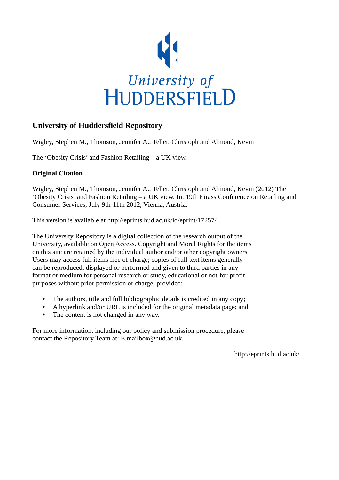

#### **University of Huddersfield Repository**

Wigley, Stephen M., Thomson, Jennifer A., Teller, Christoph and Almond, Kevin

The 'Obesity Crisis' and Fashion Retailing – a UK view.

#### **Original Citation**

Wigley, Stephen M., Thomson, Jennifer A., Teller, Christoph and Almond, Kevin (2012) The 'Obesity Crisis' and Fashion Retailing – a UK view. In: 19th Eirass Conference on Retailing and Consumer Services, July 9th-11th 2012, Vienna, Austria.

This version is available at http://eprints.hud.ac.uk/id/eprint/17257/

The University Repository is a digital collection of the research output of the University, available on Open Access. Copyright and Moral Rights for the items on this site are retained by the individual author and/or other copyright owners. Users may access full items free of charge; copies of full text items generally can be reproduced, displayed or performed and given to third parties in any format or medium for personal research or study, educational or not-for-profit purposes without prior permission or charge, provided:

- The authors, title and full bibliographic details is credited in any copy;
- A hyperlink and/or URL is included for the original metadata page; and
- The content is not changed in any way.

For more information, including our policy and submission procedure, please contact the Repository Team at: E.mailbox@hud.ac.uk.

http://eprints.hud.ac.uk/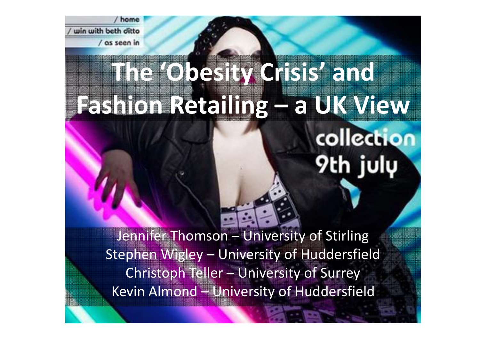win with beth ditto

/ os seen in

# The 'Obesity Crisis' and Fashion Retailing – a UK View

collection 9th july

Jennifer Thomson – University of Stirling Stephen Wigley – University of HuddersfieldChristoph Teller – University of Surrey Kevin Almond – University of Huddersfield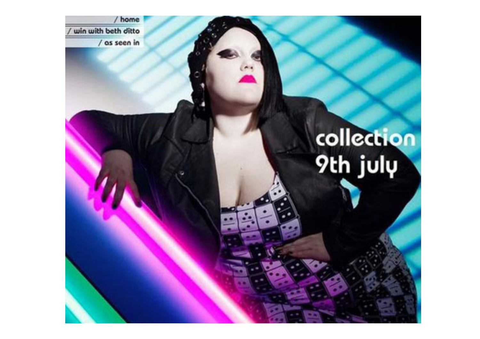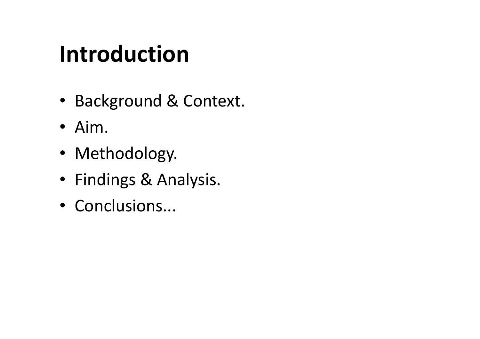## Introduction

- Background & Context.
- Aim.
- Methodology.
- Findings & Analysis.
- Conclusions...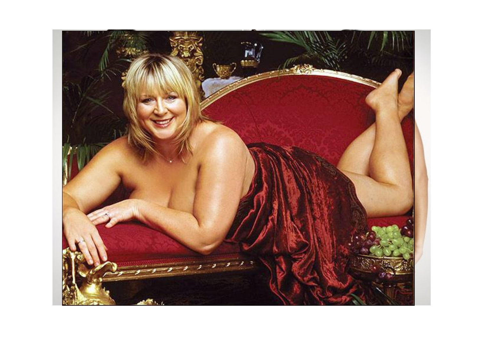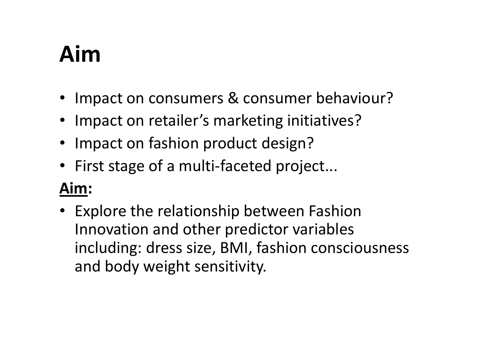## Aim

- Impact on consumers & consumer behaviour?
- Impact on retailer's marketing initiatives?
- Impact on fashion product design?
- First stage of a multi-faceted project...

#### Aim:

• Explore the relationship between Fashion Innovation and other predictor variables including: dress size, BMI, fashion consciousness and body weight sensitivity.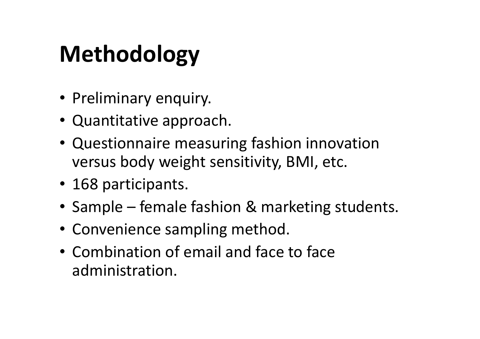## Methodology

- Preliminary enquiry.
- Quantitative approach.
- Questionnaire measuring fashion innovation versus body weight sensitivity, BMI, etc.
- 168 participants.
- Sample female fashion & marketing students.
- Convenience sampling method.
- Combination of email and face to face administration.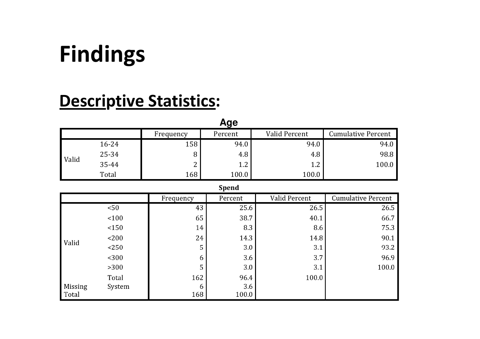#### Descriptive Statistics:

| Age            |        |           |         |               |                           |  |  |  |  |  |  |
|----------------|--------|-----------|---------|---------------|---------------------------|--|--|--|--|--|--|
|                |        | Frequency | Percent | Valid Percent | <b>Cumulative Percent</b> |  |  |  |  |  |  |
| Valid          | 16-24  | 158       | 94.0    | 94.0          | 94.0                      |  |  |  |  |  |  |
|                | 25-34  | 8         | 4.8     | 4.8           | 98.8                      |  |  |  |  |  |  |
|                | 35-44  | 2         | 1.2     | 1.2           | 100.0                     |  |  |  |  |  |  |
|                | Total  | 168       | 100.0   |               |                           |  |  |  |  |  |  |
| <b>Spend</b>   |        |           |         |               |                           |  |  |  |  |  |  |
|                |        | Frequency | Percent | Valid Percent | <b>Cumulative Percent</b> |  |  |  |  |  |  |
|                | < 50   | 43        | 25.6    | 26.5          | 26.5                      |  |  |  |  |  |  |
|                | 100    | 65        | 38.7    | 40.1          | 66.7                      |  |  |  |  |  |  |
|                | < 150  | 14        | 8.3     | 8.6           | 75.3                      |  |  |  |  |  |  |
| Valid          | < 200  | 24        | 14.3    | 14.8          | 90.1                      |  |  |  |  |  |  |
|                | 250    | 5         | 3.0     | 3.1           | 93.2                      |  |  |  |  |  |  |
|                | < 300  | 6         | 3.6     | 3.7           | 96.9                      |  |  |  |  |  |  |
|                | >300   | 5         | 3.0     | 3.1           | 100.0                     |  |  |  |  |  |  |
|                | Total  | 162       | 96.4    | 100.0         |                           |  |  |  |  |  |  |
| <b>Missing</b> | System | 6         | 3.6     |               |                           |  |  |  |  |  |  |
| Total          |        | 168       | 100.0   |               |                           |  |  |  |  |  |  |

A  $\rightarrow$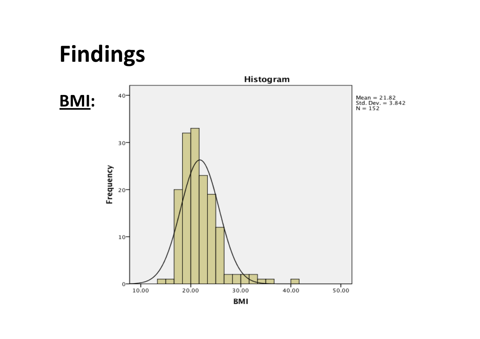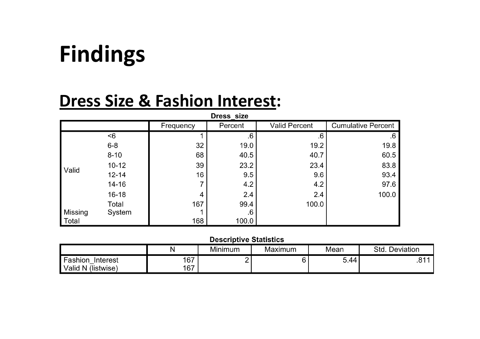#### Dress Size & Fashion Interest:

| Dress size |           |           |         |                      |                           |  |  |  |  |
|------------|-----------|-----------|---------|----------------------|---------------------------|--|--|--|--|
|            |           | Frequency | Percent | <b>Valid Percent</b> | <b>Cumulative Percent</b> |  |  |  |  |
|            | < 6       |           | .6      | .6                   | .6                        |  |  |  |  |
|            | $6 - 8$   | 32        | 19.0    | 19.2                 | 19.8                      |  |  |  |  |
|            | $8 - 10$  | 68        | 40.5    | 40.7                 | 60.5                      |  |  |  |  |
|            | $10 - 12$ | 39        | 23.2    | 23.4                 | 83.8                      |  |  |  |  |
| Valid      | $12 - 14$ | 16        | 9.5     | 9.6                  | 93.4                      |  |  |  |  |
|            | 14-16     |           | 4.2     | 4.2                  | 97.6                      |  |  |  |  |
|            | $16 - 18$ | 4         | 2.4     | 2.4                  | 100.0                     |  |  |  |  |
|            | Total     | 167       | 99.4    | 100.0                |                           |  |  |  |  |
| Missing    | System    |           | .6      |                      |                           |  |  |  |  |
| Total      |           | 168       | 100.0   |                      |                           |  |  |  |  |

المسافين المربيات

#### **Descriptive Statistics**

|                                                      | . . | Minimum | Maximum | Mean                             | Std.<br>Deviation |
|------------------------------------------------------|-----|---------|---------|----------------------------------|-------------------|
| $\overline{\phantom{0}}$<br>Fashion<br>Interest<br>_ | 167 |         |         | $\overline{\phantom{0}}$<br>5.44 | O 1<br>.oʻ        |
| Valid N (listwise)                                   | 167 |         |         |                                  |                   |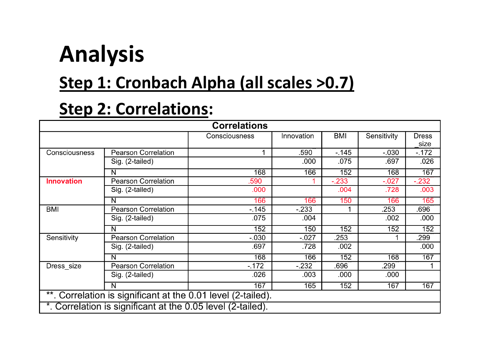# AnalysisStep 1: Cronbach Alpha (all scales >0.7)

#### Step 2: Correlations:

| <b>Correlations</b> |                                                              |               |            |            |             |                      |  |  |  |
|---------------------|--------------------------------------------------------------|---------------|------------|------------|-------------|----------------------|--|--|--|
|                     |                                                              | Consciousness | Innovation | <b>BMI</b> | Sensitivity | <b>Dress</b><br>size |  |  |  |
| Consciousness       | <b>Pearson Correlation</b>                                   |               | .590       | $-.145$    | $-.030$     | $-.172$              |  |  |  |
|                     | Sig. (2-tailed)                                              |               | .000       | .075       | .697        | .026                 |  |  |  |
|                     | N                                                            | 168           | 166        | 152        | 168         | 167                  |  |  |  |
| <b>Innovation</b>   | <b>Pearson Correlation</b>                                   | .590          |            | $-.233$    | $-.027$     | $-232$               |  |  |  |
|                     | Sig. (2-tailed)                                              | .000          |            | .004       | .728        | .003                 |  |  |  |
|                     | N                                                            | 166           | 166        | 150        | 166         | 165                  |  |  |  |
| BMI                 | <b>Pearson Correlation</b>                                   | $-145$        | $-233$     |            | .253        | .696                 |  |  |  |
|                     | Sig. (2-tailed)                                              | .075          | .004       |            | .002        | .000                 |  |  |  |
|                     | N                                                            | 152           | 150        | 152        | 152         | 152                  |  |  |  |
| Sensitivity         | <b>Pearson Correlation</b>                                   | $-0.030$      | $-0.027$   | .253       |             | .299                 |  |  |  |
|                     | Sig. (2-tailed)                                              | .697          | .728       | .002       |             | .000                 |  |  |  |
|                     | N                                                            | 168           | 166        | 152        | 168         | 167                  |  |  |  |
| Dress size          | <b>Pearson Correlation</b>                                   | $-172$        | $-232$     | .696       | .299        |                      |  |  |  |
|                     | Sig. (2-tailed)                                              | .026          | .003       | .000       | .000        |                      |  |  |  |
|                     | N                                                            | 167           | 165        | 152        | 167         | 167                  |  |  |  |
|                     | **. Correlation is significant at the 0.01 level (2-tailed). |               |            |            |             |                      |  |  |  |
|                     | *. Correlation is significant at the 0.05 level (2-tailed).  |               |            |            |             |                      |  |  |  |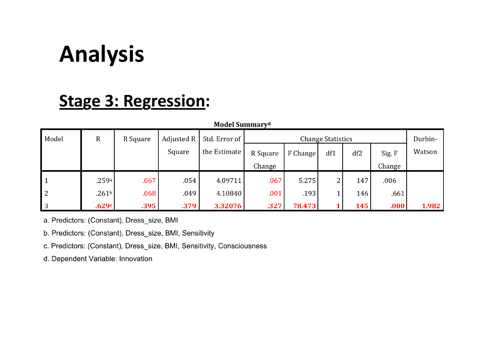### Analysis

#### Stage 3: Regression:

| <b>Model Summaryd</b> |                   |          |            |               |                          |          |     |                 |         |        |
|-----------------------|-------------------|----------|------------|---------------|--------------------------|----------|-----|-----------------|---------|--------|
| Model                 | $\mathbf R$       | R Square | Adjusted R | Std. Error of | <b>Change Statistics</b> |          |     |                 | Durbin- |        |
|                       |                   |          | Square     | the Estimate  | R Square                 | F Change | df1 | df <sub>2</sub> | Sig. F  | Watson |
|                       |                   |          |            |               | Change                   |          |     |                 | Change  |        |
|                       | .259a             | .067     | .054       | 4.09711       | .067                     | 5.275    | 2   | 147             | .006    |        |
| $\overline{2}$        | .261 <sup>b</sup> | .068     | .049       | 4.10840       | .001                     | .193     |     | 146             | .661    |        |
| 3                     | .629c             | .395     | .379       | 3.32076       | .327                     | 78.473   |     | 145             | .000    | 1.982  |

a. Predictors: (Constant), Dress\_size, BMI

- b. Predictors: (Constant), Dress\_size, BMI, Sensitivity
- c. Predictors: (Constant), Dress\_size, BMI, Sensitivity, Consciousness
- d. Dependent Variable: Innovation